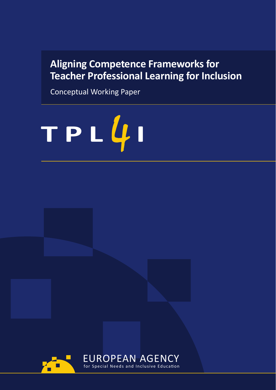# **Aligning Competence Frameworks for Teacher Professional Learning for Inclusion**

Conceptual Working Paper



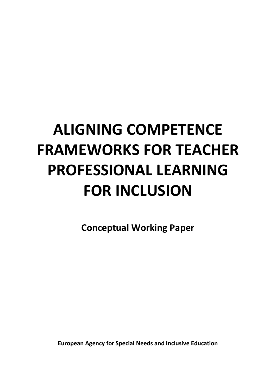# **ALIGNING COMPETENCE FRAMEWORKS FOR TEACHER PROFESSIONAL LEARNING FOR INCLUSION**

**Conceptual Working Paper**

**European Agency for Special Needs and Inclusive Education**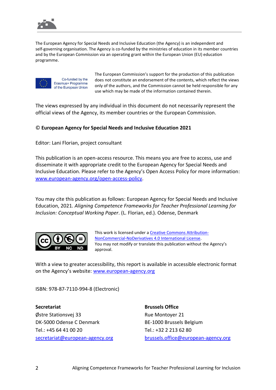

The European Agency for Special Needs and Inclusive Education (the Agency) is an independent and self-governing organisation. The Agency is co-funded by the ministries of education in its member countries and by the European Commission via an operating grant within the European Union (EU) education programme.



Co-funded by the Erasmus+ Programme of the European Union The European Commission's support for the production of this publication does not constitute an endorsement of the contents, which reflect the views only of the authors, and the Commission cannot be held responsible for any use which may be made of the information contained therein.

The views expressed by any individual in this document do not necessarily represent the official views of the Agency, its member countries or the European Commission.

#### © **European Agency for Special Needs and Inclusive Education 2021**

Editor: Lani Florian, project consultant

This publication is an open-access resource. This means you are free to access, use and disseminate it with appropriate credit to the European Agency for Special Needs and Inclusive Education. Please refer to the Agency's Open Access Policy for more information: [www.european-agency.org/open-access-policy.](http://www.european-agency.org/open-access-policy)

You may cite this publication as follows: European Agency for Special Needs and Inclusive Education, 2021. *Aligning Competence Frameworks for Teacher Professional Learning for Inclusion: Conceptual Working Paper*. (L. Florian, ed.). Odense, Denmark



This work is licensed under a [Creative Commons Attribution-](https://creativecommons.org/licenses/by-nc-nd/4.0/)[NonCommercial-NoDerivatives 4.0 International License.](https://creativecommons.org/licenses/by-nc-nd/4.0/) You may not modify or translate this publication without the Agency's approval.

With a view to greater accessibility, this report is available in accessible electronic format on the Agency's website: [www.european-agency.org](http://www.european-agency.org/)

ISBN: 978-87-7110-994-8 (Electronic)

**Secretariat** Østre Stationsvej 33 DK-5000 Odense C Denmark Tel.: +45 64 41 00 20 [secretariat@european-agency.org](mailto:secretariat@european-agency.org) **Brussels Office** Rue Montoyer 21 BE-1000 Brussels Belgium Tel.: +32 2 213 62 80 [brussels.office@european-agency.org](mailto:brussels.office@european-agency.org)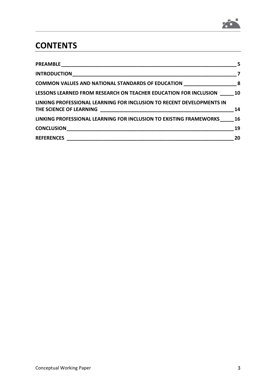

### **CONTENTS**

|                                                                                  | $\overline{\mathbf{z}}$ |
|----------------------------------------------------------------------------------|-------------------------|
| COMMON VALUES AND NATIONAL STANDARDS OF EDUCATION _____________________________8 |                         |
| LESSONS LEARNED FROM RESEARCH ON TEACHER EDUCATION FOR INCLUSION 10              |                         |
| LINKING PROFESSIONAL LEARNING FOR INCLUSION TO RECENT DEVELOPMENTS IN            |                         |
| LINKING PROFESSIONAL LEARNING FOR INCLUSION TO EXISTING FRAMEWORKS 16            |                         |
|                                                                                  | 19                      |
|                                                                                  | 20                      |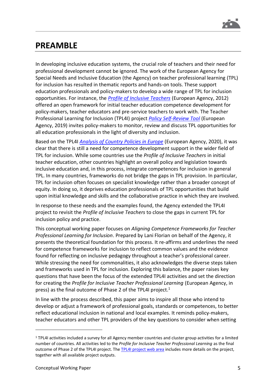

### <span id="page-6-0"></span>**PREAMBLE**

In developing inclusive education systems, the crucial role of teachers and their need for professional development cannot be ignored. The work of the European Agency for Special Needs and Inclusive Education (the Agency) on teacher professional learning (TPL) for inclusion has resulted in thematic reports and hands-on tools. These support education professionals and policy-makers to develop a wide range of TPL for inclusion opportunities. For instance, the *[Profile of Inclusive Teachers](https://www.european-agency.org/resources/publications/teacher-education-inclusion-profile-inclusive-teachers)* (European Agency, 2012) offered an open framework for initial teacher education competence development for policy-makers, teacher educators and pre-service teachers to work with. The Teacher Professional Learning for Inclusion (TPL4I) project *[Policy Self-Review Tool](https://www.european-agency.org/resources/publications/TPL4I-policy-self-review-tool)* (European Agency, 2019) invites policy-makers to monitor, review and discuss TPL opportunities for all education professionals in the light of diversity and inclusion.

Based on the TPL4I *[Analysis of Country Policies in Europe](https://www.european-agency.org/resources/publications/TPL4I-synthesis)* (European Agency, 2020), it was clear that there is still a need for competence development support in the wider field of TPL for inclusion. While some countries use the *Profile of Inclusive Teachers* in initial teacher education, other countries highlight an overall policy and legislation towards inclusive education and, in this process, integrate competences for inclusion in general TPL. In many countries, frameworks do not bridge the gaps in TPL provision. In particular, TPL for inclusion often focuses on specialist knowledge rather than a broader concept of equity. In doing so, it deprives education professionals of TPL opportunities that build upon initial knowledge and skills and the collaborative practice in which they are involved.

In response to these needs and the examples found, the Agency extended the TPL4I project to revisit the *Profile of Inclusive Teachers* to close the gaps in current TPL for inclusion policy and practice.

This conceptual working paper focuses on *Aligning Competence Frameworks for Teacher Professional Learning for Inclusion*. Prepared by Lani Florian on behalf of the Agency, it presents the theoretical foundation for this process. It re-affirms and underlines the need for competence frameworks for inclusion to reflect common values and the evidence found for reflecting on inclusive pedagogy throughout a teacher's professional career. While stressing the need for commonalities, it also acknowledges the diverse steps taken and frameworks used in TPL for inclusion. Exploring this balance, the paper raises key questions that have been the focus of the extended TPL4I activities and set the direction for creating the *Profile for Inclusive Teacher Professional Learning* (European Agency, in press) as the final outcome of Phase 2 of the TPL4I project.<sup>1</sup>

In line with the process described, this paper aims to inspire all those who intend to develop or adjust a framework of professional goals, standards or competences, to better reflect educational inclusion in national and local examples. It reminds policy-makers, teacher educators and other TPL providers of the key questions to consider when setting

<sup>1</sup> TPL4I activities included a survey for all Agency member countries and cluster group activities for a limited number of countries. All activities led to the *Profile for Inclusive Teacher Professional Learning* as the final outcome of Phase 2 of the TPL4I project. The [TPL4I project web area](https://www.european-agency.org/projects/TPL4I) includes more details on the project, together with all available project outputs.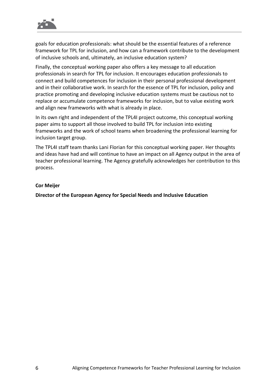

goals for education professionals: what should be the essential features of a reference framework for TPL for inclusion, and how can a framework contribute to the development of inclusive schools and, ultimately, an inclusive education system?

Finally, the conceptual working paper also offers a key message to all education professionals in search for TPL for inclusion. It encourages education professionals to connect and build competences for inclusion in their personal professional development and in their collaborative work. In search for the essence of TPL for inclusion, policy and practice promoting and developing inclusive education systems must be cautious not to replace or accumulate competence frameworks for inclusion, but to value existing work and align new frameworks with what is already in place.

In its own right and independent of the TPL4I project outcome, this conceptual working paper aims to support all those involved to build TPL for inclusion into existing frameworks and the work of school teams when broadening the professional learning for inclusion target group.

The TPL4I staff team thanks Lani Florian for this conceptual working paper. Her thoughts and ideas have had and will continue to have an impact on all Agency output in the area of teacher professional learning. The Agency gratefully acknowledges her contribution to this process.

#### **Cor Meijer**

**Director of the European Agency for Special Needs and Inclusive Education**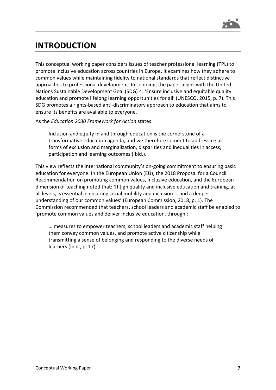

### <span id="page-8-0"></span>**INTRODUCTION**

This conceptual working paper considers issues of teacher professional learning (TPL) to promote inclusive education across countries in Europe. It examines how they adhere to common values while maintaining fidelity to national standards that reflect distinctive approaches to professional development. In so doing, the paper aligns with the United Nations Sustainable Development Goal (SDG) 4: 'Ensure inclusive and equitable quality education and promote lifelong learning opportunities for all' (UNESCO, 2015, p. 7). This SDG promotes a rights-based anti-discriminatory approach to education that aims to ensure its benefits are available to everyone.

As the *Education 2030 Framework for Action* states:

Inclusion and equity in and through education is the cornerstone of a transformative education agenda, and we therefore commit to addressing all forms of exclusion and marginalization, disparities and inequalities in access, participation and learning outcomes (ibid.).

This view reflects the international community's on-going commitment to ensuring basic education for everyone. In the European Union (EU), the 2018 Proposal for a Council Recommendation on promoting common values, inclusive education, and the European dimension of teaching noted that: '[h]igh quality and inclusive education and training, at all levels, is essential in ensuring social mobility and inclusion … and a deeper understanding of our common values' (European Commission, 2018, p. 1). The Commission recommended that teachers, school leaders and academic staff be enabled to 'promote common values and deliver inclusive education, through':

… measures to empower teachers, school leaders and academic staff helping them convey common values, and promote active citizenship while transmitting a sense of belonging and responding to the diverse needs of learners (ibid., p. 17).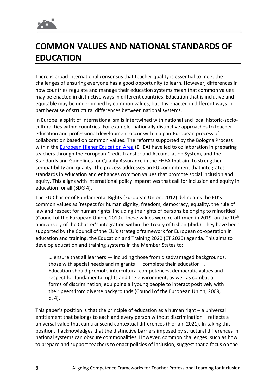

# <span id="page-9-0"></span>**COMMON VALUES AND NATIONAL STANDARDS OF EDUCATION**

There is broad international consensus that teacher quality is essential to meet the challenges of ensuring everyone has a good opportunity to learn. However, differences in how countries regulate and manage their education systems mean that common values may be enacted in distinctive ways in different countries. Education that is inclusive and equitable may be underpinned by common values, but it is enacted in different ways in part because of structural differences between national systems.

In Europe, a spirit of internationalism is intertwined with national and local historic-sociocultural ties within countries. For example, nationally distinctive approaches to teacher education and professional development occur within a pan-European process of collaboration based on common values. The reforms supported by the Bologna Process within the [European Higher Education Area](http://www.ehea.info/) (EHEA) have led to collaboration in preparing teachers through the European Credit Transfer and Accumulation System, and the Standards and Guidelines for Quality Assurance in the EHEA that aim to strengthen compatibility and quality. The process addresses an EU commitment that integrates standards in education and enhances common values that promote social inclusion and equity. This aligns with international policy imperatives that call for inclusion and equity in education for all (SDG 4).

The EU Charter of Fundamental Rights (European Union, 2012) delineates the EU's common values as 'respect for human dignity, freedom, democracy, equality, the rule of law and respect for human rights, including the rights of persons belonging to minorities' (Council of the European Union, 2019). These values were re-affirmed in 2019, on the 10<sup>th</sup> anniversary of the Charter's integration within the Treaty of Lisbon (ibid.). They have been supported by the Council of the EU's strategic framework for European co-operation in education and training, the Education and Training 2020 (ET 2020) agenda. This aims to develop education and training systems in the Member States to:

… ensure that all learners — including those from disadvantaged backgrounds, those with special needs and migrants — complete their education … Education should promote intercultural competences, democratic values and respect for fundamental rights and the environment, as well as combat all forms of discrimination, equipping all young people to interact positively with their peers from diverse backgrounds (Council of the European Union, 2009, p. 4).

This paper's position is that the principle of education as a human right – a universal entitlement that belongs to each and every person without discrimination – reflects a universal value that can transcend contextual differences (Florian, 2021). In taking this position, it acknowledges that the distinctive barriers imposed by structural differences in national systems can obscure commonalities. However, common challenges, such as how to prepare and support teachers to enact policies of inclusion, suggest that a focus on the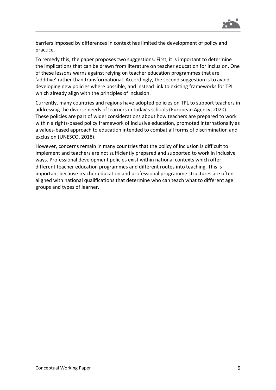

barriers imposed by differences in context has limited the development of policy and practice.

To remedy this, the paper proposes two suggestions. First, it is important to determine the implications that can be drawn from literature on teacher education for inclusion. One of these lessons warns against relying on teacher education programmes that are 'additive' rather than transformational. Accordingly, the second suggestion is to avoid developing new policies where possible, and instead link to existing frameworks for TPL which already align with the principles of inclusion.

Currently, many countries and regions have adopted policies on TPL to support teachers in addressing the diverse needs of learners in today's schools (European Agency, 2020). These policies are part of wider considerations about how teachers are prepared to work within a rights-based policy framework of inclusive education, promoted internationally as a values-based approach to education intended to combat all forms of discrimination and exclusion (UNESCO, 2018).

However, concerns remain in many countries that the policy of inclusion is difficult to implement and teachers are not sufficiently prepared and supported to work in inclusive ways. Professional development policies exist within national contexts which offer different teacher education programmes and different routes into teaching. This is important because teacher education and professional programme structures are often aligned with national qualifications that determine who can teach what to different age groups and types of learner.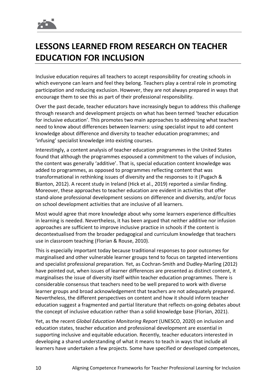# <span id="page-11-0"></span>**LESSONS LEARNED FROM RESEARCH ON TEACHER EDUCATION FOR INCLUSION**

Inclusive education requires all teachers to accept responsibility for creating schools in which everyone can learn and feel they belong. Teachers play a central role in promoting participation and reducing exclusion. However, they are not always prepared in ways that encourage them to see this as part of their professional responsibility.

Over the past decade, teacher educators have increasingly begun to address this challenge through research and development projects on what has been termed 'teacher education for inclusive education'. This promotes two main approaches to addressing what teachers need to know about differences between learners: using specialist input to add content knowledge about difference and diversity to teacher education programmes; and 'infusing' specialist knowledge into existing courses.

Interestingly, a content analysis of teacher education programmes in the United States found that although the programmes espoused a commitment to the values of inclusion, the content was generally 'additive'. That is, special education content knowledge was added to programmes, as opposed to programmes reflecting content that was transformational in rethinking issues of diversity and the responses to it (Pugach & Blanton, 2012). A recent study in Ireland (Hick et al., 2019) reported a similar finding. Moreover, these approaches to teacher education are evident in activities that offer stand-alone professional development sessions on difference and diversity, and/or focus on school development activities that are inclusive of all learners.

Most would agree that more knowledge about why some learners experience difficulties in learning is needed. Nevertheless, it has been argued that neither additive nor infusion approaches are sufficient to improve inclusive practice in schools if the content is decontextualised from the broader pedagogical and curriculum knowledge that teachers use in classroom teaching (Florian & Rouse, 2010).

This is especially important today because traditional responses to poor outcomes for marginalised and other vulnerable learner groups tend to focus on targeted interventions and specialist professional preparation. Yet, as Cochran-Smith and Dudley-Marling (2012) have pointed out, when issues of learner differences are presented as distinct content, it marginalises the issue of diversity itself within teacher education programmes. There is considerable consensus that teachers need to be well prepared to work with diverse learner groups and broad acknowledgement that teachers are not adequately prepared. Nevertheless, the different perspectives on content and how it should inform teacher education suggest a fragmented and partial literature that reflects on-going debates about the concept of inclusive education rather than a solid knowledge base (Florian, 2021).

Yet, as the recent *Global Education Monitoring Report* (UNESCO, 2020) on inclusion and education states, teacher education and professional development are essential in supporting inclusive and equitable education. Recently, teacher educators interested in developing a shared understanding of what it means to teach in ways that include all learners have undertaken a few projects. Some have specified or developed competences,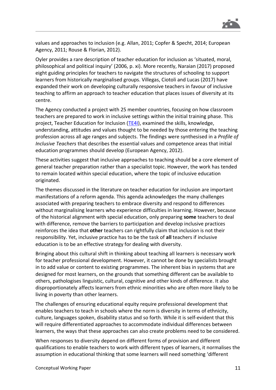

values and approaches to inclusion (e.g. Allan, 2011; Copfer & Specht, 2014; European Agency, 2011; Rouse & Florian, 2012).

Oyler provides a rare description of teacher education for inclusion as 'situated, moral, philosophical and political inquiry' (2006, p. xi). More recently, Naraian (2017) proposed eight guiding principles for teachers to navigate the structures of schooling to support learners from historically marginalised groups. Villegas, Ciotoli and Lucas (2017) have expanded their work on developing culturally responsive teachers in favour of inclusive teaching to affirm an approach to teacher education that places issues of diversity at its centre.

The Agency conducted a project with 25 member countries, focusing on how classroom teachers are prepared to work in inclusive settings within the initial training phase. This project, Teacher Education for Inclusion [\(TE4I\)](https://www.european-agency.org/projects/te4i), examined the skills, knowledge, understanding, attitudes and values thought to be needed by those entering the teaching profession across all age ranges and subjects. The findings were synthesised in a *Profile of Inclusive Teachers* that describes the essential values and competence areas that initial education programmes should develop (European Agency, 2012).

These activities suggest that inclusive approaches to teaching should be a core element of general teacher preparation rather than a specialist topic. However, the work has tended to remain located within special education, where the topic of inclusive education originated.

The themes discussed in the literature on teacher education for inclusion are important manifestations of a reform agenda. This agenda acknowledges the many challenges associated with preparing teachers to embrace diversity and respond to differences without marginalising learners who experience difficulties in learning. However, because of the historical alignment with special education, only preparing **some** teachers to deal with difference, remove the barriers to participation and develop inclusive practices reinforces the idea that **other** teachers can rightfully claim that inclusion is not their responsibility. Yet, inclusive practice has to be the task of **all** teachers if inclusive education is to be an effective strategy for dealing with diversity.

Bringing about this cultural shift in thinking about teaching all learners is necessary work for teacher professional development. However, it cannot be done by specialists brought in to add value or content to existing programmes. The inherent bias in systems that are designed for most learners, on the grounds that something different can be available to others, pathologises linguistic, cultural, cognitive and other kinds of difference. It also disproportionately affects learners from ethnic minorities who are often more likely to be living in poverty than other learners.

The challenges of ensuring educational equity require professional development that enables teachers to teach in schools where the norm is diversity in terms of ethnicity, culture, languages spoken, disability status and so forth. While it is self-evident that this will require differentiated approaches to accommodate individual differences between learners, the ways that these approaches can also create problems need to be considered.

When responses to diversity depend on different forms of provision and different qualifications to enable teachers to work with different types of learners, it normalises the assumption in educational thinking that some learners will need something 'different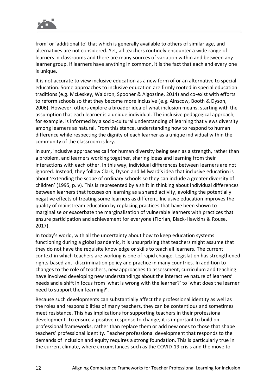

from' or 'additional to' that which is generally available to others of similar age, and alternatives are not considered. Yet, all teachers routinely encounter a wide range of learners in classrooms and there are many sources of variation within and between any learner group. If learners have anything in common, it is the fact that each and every one is unique.

It is not accurate to view inclusive education as a new form of or an alternative to special education. Some approaches to inclusive education are firmly rooted in special education traditions (e.g. McLeskey, Waldron, Spooner & Algozzine, 2014) and co-exist with efforts to reform schools so that they become more inclusive (e.g. Ainscow, Booth & Dyson, 2006). However, others explore a broader idea of what inclusion means, starting with the assumption that each learner is a unique individual. The inclusive pedagogical approach, for example, is informed by a socio-cultural understanding of learning that views diversity among learners as natural. From this stance, understanding how to respond to human difference while respecting the dignity of each learner as a unique individual within the community of the classroom is key.

In sum, inclusive approaches call for human diversity being seen as a strength, rather than a problem, and learners working together, sharing ideas and learning from their interactions with each other. In this way, individual differences between learners are not ignored. Instead, they follow Clark, Dyson and Milward's idea that inclusive education is about 'extending the scope of ordinary schools so they can include a greater diversity of children' (1995, p. v). This is represented by a shift in thinking about individual differences between learners that focuses on learning as a shared activity, avoiding the potentially negative effects of treating some learners as different. Inclusive education improves the quality of mainstream education by replacing practices that have been shown to marginalise or exacerbate the marginalisation of vulnerable learners with practices that ensure participation and achievement for everyone (Florian, Black-Hawkins & Rouse, 2017).

In today's world, with all the uncertainty about how to keep education systems functioning during a global pandemic, it is unsurprising that teachers might assume that they do not have the requisite knowledge or skills to teach all learners. The current context in which teachers are working is one of rapid change. Legislation has strengthened rights-based anti-discrimination policy and practice in many countries. In addition to changes to the role of teachers, new approaches to assessment, curriculum and teaching have involved developing new understandings about the interactive nature of learners' needs and a shift in focus from 'what is wrong with the learner?' to 'what does the learner need to support their learning?'.

Because such developments can substantially affect the professional identity as well as the roles and responsibilities of many teachers, they can be contentious and sometimes meet resistance. This has implications for supporting teachers in their professional development. To ensure a positive response to change, it is important to build on professional frameworks, rather than replace them or add new ones to those that shape teachers' professional identity. Teacher professional development that responds to the demands of inclusion and equity requires a strong foundation. This is particularly true in the current climate, where circumstances such as the COVID-19 crisis and the move to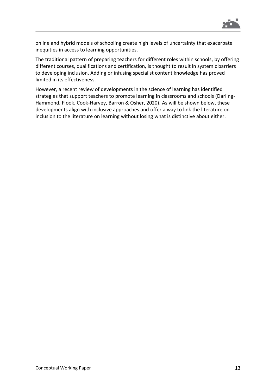

online and hybrid models of schooling create high levels of uncertainty that exacerbate inequities in access to learning opportunities.

The traditional pattern of preparing teachers for different roles within schools, by offering different courses, qualifications and certification, is thought to result in systemic barriers to developing inclusion. Adding or infusing specialist content knowledge has proved limited in its effectiveness.

However, a recent review of developments in the science of learning has identified strategies that support teachers to promote learning in classrooms and schools (Darling-Hammond, Flook, Cook-Harvey, Barron & Osher, 2020). As will be shown below, these developments align with inclusive approaches and offer a way to link the literature on inclusion to the literature on learning without losing what is distinctive about either.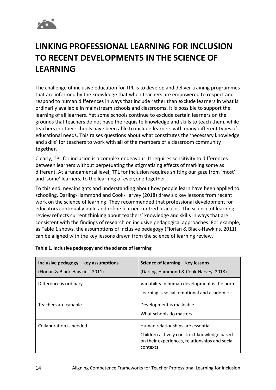# <span id="page-15-0"></span>**LINKING PROFESSIONAL LEARNING FOR INCLUSION TO RECENT DEVELOPMENTS IN THE SCIENCE OF LEARNING**

The challenge of inclusive education for TPL is to develop and deliver training programmes that are informed by the knowledge that when teachers are empowered to respect and respond to human differences in ways that include rather than exclude learners in what is ordinarily available in mainstream schools and classrooms, it is possible to support the learning of all learners. Yet some schools continue to exclude certain learners on the grounds that teachers do not have the requisite knowledge and skills to teach them, while teachers in other schools have been able to include learners with many different types of educational needs. This raises questions about what constitutes the 'necessary knowledge and skills' for teachers to work with **all** of the members of a classroom community **together**.

Clearly, TPL for inclusion is a complex endeavour. It requires sensitivity to differences between learners without perpetuating the stigmatising effects of marking some as different. At a fundamental level, TPL for inclusion requires shifting our gaze from 'most' and 'some' learners, to the learning of everyone together.

To this end, new insights and understanding about how people learn have been applied to schooling. Darling-Hammond and Cook-Harvey (2018) drew six key lessons from recent work on the science of learning. They recommended that professional development for educators continually build and refine learner-centred practices. The science of learning review reflects current thinking about teachers' knowledge and skills in ways that are consistent with the findings of research on inclusive pedagogical approaches. For example, as Table 1 shows, the assumptions of inclusive pedagogy (Florian & Black-Hawkins, 2011) can be aligned with the key lessons drawn from the science of learning review.

| Inclusive pedagogy - key assumptions<br>(Florian & Black-Hawkins, 2011) | Science of learning – key lessons<br>(Darling-Hammond & Cook-Harvey, 2018)                                                                     |
|-------------------------------------------------------------------------|------------------------------------------------------------------------------------------------------------------------------------------------|
| Difference is ordinary                                                  | Variability in human development is the norm<br>Learning is social, emotional and academic                                                     |
| Teachers are capable                                                    | Development is malleable<br>What schools do matters                                                                                            |
| Collaboration is needed                                                 | Human relationships are essential<br>Children actively construct knowledge based<br>on their experiences, relationships and social<br>contexts |

#### **Table 1. Inclusive pedagogy and the science of learning**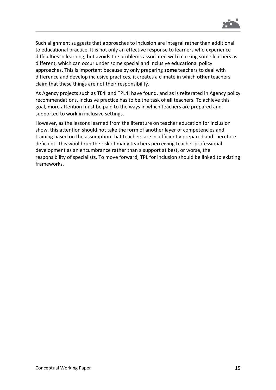

Such alignment suggests that approaches to inclusion are integral rather than additional to educational practice. It is not only an effective response to learners who experience difficulties in learning, but avoids the problems associated with marking some learners as different, which can occur under some special and inclusive educational policy approaches. This is important because by only preparing **some** teachers to deal with difference and develop inclusive practices, it creates a climate in which **other** teachers claim that these things are not their responsibility.

As Agency projects such as TE4I and TPL4I have found, and as is reiterated in Agency policy recommendations, inclusive practice has to be the task of **all** teachers. To achieve this goal, more attention must be paid to the ways in which teachers are prepared and supported to work in inclusive settings.

However, as the lessons learned from the literature on teacher education for inclusion show, this attention should not take the form of another layer of competencies and training based on the assumption that teachers are insufficiently prepared and therefore deficient. This would run the risk of many teachers perceiving teacher professional development as an encumbrance rather than a support at best, or worse, the responsibility of specialists. To move forward, TPL for inclusion should be linked to existing frameworks.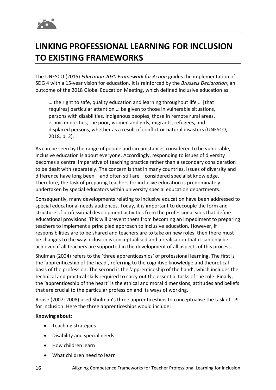# <span id="page-17-0"></span>**LINKING PROFESSIONAL LEARNING FOR INCLUSION TO EXISTING FRAMEWORKS**

The UNESCO (2015) *Education 2030 Framework for Action* guides the implementation of SDG 4 with a 15-year vision for education. It is reinforced by the *Brussels Declaration*, an outcome of the 2018 Global Education Meeting, which defined inclusive education as:

… the right to safe, quality education and learning throughout life … [that requires] particular attention … be given to those in vulnerable situations, persons with disabilities, indigenous peoples, those in remote rural areas, ethnic minorities, the poor, women and girls, migrants, refugees, and displaced persons, whether as a result of conflict or natural disasters (UNESCO, 2018, p. 2).

As can be seen by the range of people and circumstances considered to be vulnerable, inclusive education is about everyone. Accordingly, responding to issues of diversity becomes a central imperative of teaching practice rather than a secondary consideration to be dealt with separately. The concern is that in many countries, issues of diversity and difference have long been – and often still are – considered specialist knowledge. Therefore, the task of preparing teachers for inclusive education is predominately undertaken by special educators within university special education departments.

Consequently, many developments relating to inclusive education have been addressed to special educational needs audiences. Today, it is important to decouple the form and structure of professional development activities from the professional silos that define educational provisions. This will prevent them from becoming an impediment to preparing teachers to implement a principled approach to inclusive education. However, if responsibilities are to be shared and teachers are to take on new roles, then there must be changes to the way inclusion is conceptualised and a realisation that it can only be achieved if all teachers are supported in the development of all aspects of this process.

Shulman (2004) refers to the 'three apprenticeships' of professional learning. The first is the 'apprenticeship of the head', referring to the cognitive knowledge and theoretical basis of the profession. The second is the 'apprenticeship of the hand', which includes the technical and practical skills required to carry out the essential tasks of the role. Finally, the 'apprenticeship of the heart' is the ethical and moral dimensions, attitudes and beliefs that are crucial to the particular profession and its ways of working.

Rouse (2007; 2008) used Shulman's three apprenticeships to conceptualise the task of TPL for inclusion. Here the three apprenticeships would include:

#### **Knowing about:**

- Teaching strategies
- Disability and special needs
- How children learn
- What children need to learn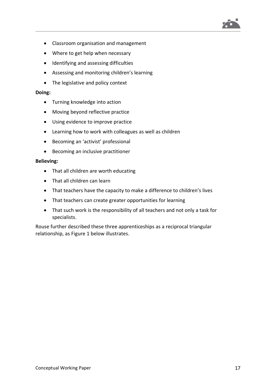

- Classroom organisation and management
- Where to get help when necessary
- Identifying and assessing difficulties
- Assessing and monitoring children's learning
- The legislative and policy context

#### **Doing:**

- Turning knowledge into action
- Moving beyond reflective practice
- Using evidence to improve practice
- Learning how to work with colleagues as well as children
- Becoming an 'activist' professional
- Becoming an inclusive practitioner

#### **Believing:**

- That all children are worth educating
- That all children can learn
- That teachers have the capacity to make a difference to children's lives
- That teachers can create greater opportunities for learning
- That such work is the responsibility of all teachers and not only a task for specialists.

Rouse further described these three apprenticeships as a reciprocal triangular relationship, as Figure 1 below illustrates.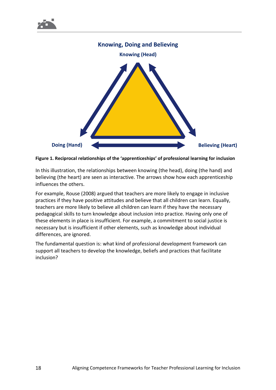

#### **Figure 1. Reciprocal relationships of the 'apprenticeships' of professional learning for inclusion**

In this illustration, the relationships between knowing (the head), doing (the hand) and believing (the heart) are seen as interactive. The arrows show how each apprenticeship influences the others.

For example, Rouse (2008) argued that teachers are more likely to engage in inclusive practices if they have positive attitudes and believe that all children can learn. Equally, teachers are more likely to believe all children can learn if they have the necessary pedagogical skills to turn knowledge about inclusion into practice. Having only one of these elements in place is insufficient. For example, a commitment to social justice is necessary but is insufficient if other elements, such as knowledge about individual differences, are ignored.

The fundamental question is: what kind of professional development framework can support all teachers to develop the knowledge, beliefs and practices that facilitate inclusion?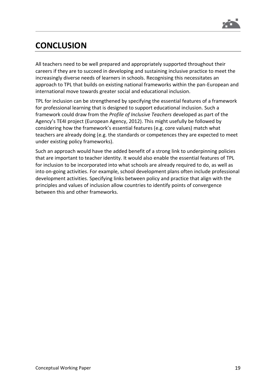

### <span id="page-20-0"></span>**CONCLUSION**

All teachers need to be well prepared and appropriately supported throughout their careers if they are to succeed in developing and sustaining inclusive practice to meet the increasingly diverse needs of learners in schools. Recognising this necessitates an approach to TPL that builds on existing national frameworks within the pan-European and international move towards greater social and educational inclusion.

TPL for inclusion can be strengthened by specifying the essential features of a framework for professional learning that is designed to support educational inclusion. Such a framework could draw from the *Profile of Inclusive Teachers* developed as part of the Agency's TE4I project (European Agency, 2012). This might usefully be followed by considering how the framework's essential features (e.g. core values) match what teachers are already doing (e.g. the standards or competences they are expected to meet under existing policy frameworks).

Such an approach would have the added benefit of a strong link to underpinning policies that are important to teacher identity. It would also enable the essential features of TPL for inclusion to be incorporated into what schools are already required to do, as well as into on-going activities. For example, school development plans often include professional development activities. Specifying links between policy and practice that align with the principles and values of inclusion allow countries to identify points of convergence between this and other frameworks.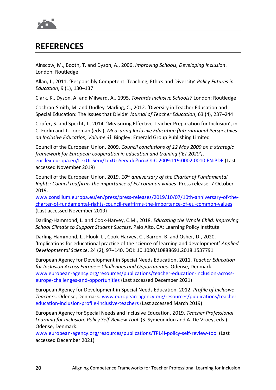

### <span id="page-21-0"></span>**REFERENCES**

Ainscow, M., Booth, T. and Dyson, A., 2006. *Improving Schools, Developing Inclusion*. London: Routledge

Allan, J., 2011. 'Responsibly Competent: Teaching, Ethics and Diversity' *Policy Futures in Education*, 9 (1), 130–137

Clark, K., Dyson, A. and Milward, A., 1995. *Towards Inclusive Schools?* London: Routledge

Cochran-Smith, M. and Dudley-Marling, C., 2012. 'Diversity in Teacher Education and Special Education: The Issues that Divide' *Journal of Teacher Education*, 63 (4), 237–244

Copfer, S. and Specht, J., 2014. 'Measuring Effective Teacher Preparation for Inclusion', in C. Forlin and T. Loreman (eds.), *Measuring Inclusive Education (International Perspectives on Inclusive Education, Volume 3)*. Bingley: Emerald Group Publishing Limited

Council of the European Union, 2009. *Council conclusions of 12 May 2009 on a strategic framework for European cooperation in education and training ('ET 2020')*. [eur-lex.europa.eu/LexUriServ/LexUriServ.do?uri=OJ:C:2009:119:0002:0010:EN:PDF](http://eur-lex.europa.eu/LexUriServ/LexUriServ.do?uri=OJ:C:2009:119:0002:0010:EN:PDF) (Last accessed November 2019)

Council of the European Union, 2019. *10th anniversary of the Charter of Fundamental Rights: Council reaffirms the importance of EU common values*. Press release, 7 October 2019.

[www.consilium.europa.eu/en/press/press-releases/2019/10/07/10th-anniversary-of-the](http://www.consilium.europa.eu/en/press/press-releases/2019/10/07/10th-anniversary-of-the-charter-of-fundamental-rights-council-reaffirms-the-importance-of-eu-common-values)[charter-of-fundamental-rights-council-reaffirms-the-importance-of-eu-common-values](http://www.consilium.europa.eu/en/press/press-releases/2019/10/07/10th-anniversary-of-the-charter-of-fundamental-rights-council-reaffirms-the-importance-of-eu-common-values) (Last accessed November 2019)

Darling-Hammond, L. and Cook-Harvey, C.M., 2018. *Educating the Whole Child: Improving School Climate to Support Student Success*. Palo Alto, CA: Learning Policy Institute

Darling-Hammond, L., Flook, L., Cook-Harvey, C., Barron, B. and Osher, D., 2020. 'Implications for educational practice of the science of learning and development' *Applied Developmental Science*, 24 (2), 97–140. DOI: 10.1080/10888691.2018.1537791

European Agency for Development in Special Needs Education, 2011. *Teacher Education for Inclusion Across Europe – Challenges and Opportunities*. Odense, Denmark. [www.european-agency.org/resources/publications/teacher-education-inclusion-across](https://www.european-agency.org/resources/publications/teacher-education-inclusion-across-europe-challenges-and-opportunities)[europe-challenges-and-opportunities](https://www.european-agency.org/resources/publications/teacher-education-inclusion-across-europe-challenges-and-opportunities) (Last accessed December 2021)

European Agency for Development in Special Needs Education, 2012. *Profile of Inclusive Teachers*. Odense, Denmark. [www.european-agency.org/resources/publications/teacher](http://www.european-agency.org/resources/publications/teacher-education-inclusion-profile-inclusive-teachers)[education-inclusion-profile-inclusive-teachers](http://www.european-agency.org/resources/publications/teacher-education-inclusion-profile-inclusive-teachers) (Last accessed March 2019)

European Agency for Special Needs and Inclusive Education, 2019. *Teacher Professional Learning for Inclusion: Policy Self-Review Tool*. (S. Symeonidou and A. De Vroey, eds.). Odense, Denmark.

[www.european-agency.org/resources/publications/TPL4I-policy-self-review-tool](https://www.european-agency.org/resources/publications/TPL4I-policy-self-review-tool) (Last accessed December 2021)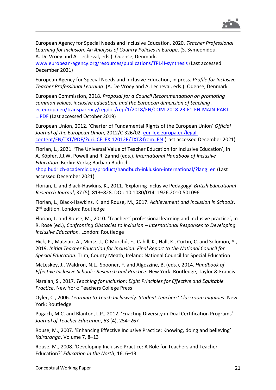

European Agency for Special Needs and Inclusive Education, 2020. *Teacher Professional Learning for Inclusion: An Analysis of Country Policies in Europe*. (S. Symeonidou, A. De Vroey and A. Lecheval, eds.). Odense, Denmark.

[www.european-agency.org/resources/publications/TPL4I-synthesis](https://www.european-agency.org/resources/publications/TPL4I-synthesis) (Last accessed December 2021)

European Agency for Special Needs and Inclusive Education, in press. *Profile for Inclusive Teacher Professional Learning*. (A. De Vroey and A. Lecheval, eds.). Odense, Denmark

European Commission, 2018. *Proposal for a Council Recommendation on promoting common values, inclusive education, and the European dimension of teaching*. [ec.europa.eu/transparency/regdoc/rep/1/2018/EN/COM-2018-23-F1-EN-MAIN-PART-](https://ec.europa.eu/transparency/regdoc/rep/1/2018/EN/COM-2018-23-F1-EN-MAIN-PART-1.PDF)[1.PDF](https://ec.europa.eu/transparency/regdoc/rep/1/2018/EN/COM-2018-23-F1-EN-MAIN-PART-1.PDF) (Last accessed October 2019)

European Union, 2012. 'Charter of Fundamental Rights of the European Union' *Official Journal of the European Union*, 2012/C 326/02. [eur-lex.europa.eu/legal](https://eur-lex.europa.eu/legal-content/EN/TXT/PDF/?uri=CELEX:12012P/TXT&from=EN)[content/EN/TXT/PDF/?uri=CELEX:12012P/TXT&from=EN](https://eur-lex.europa.eu/legal-content/EN/TXT/PDF/?uri=CELEX:12012P/TXT&from=EN) (Last accessed December 2021)

Florian, L., 2021. 'The Universal Value of Teacher Education for Inclusive Education', in A. Köpfer, J.J.W. Powell and R. Zahnd (eds.), *International Handbook of Inclusive Education*. Berlin: Verlag Barbara Budrich.

[shop.budrich-academic.de/product/handbuch-inklusion-international/?lang=en](https://shop.budrich-academic.de/product/handbuch-inklusion-international/?lang=en) (Last accessed December 2021)

Florian, L. and Black-Hawkins, K., 2011. 'Exploring Inclusive Pedagogy' *British Educational Research Journal*, 37 (5), 813–828. DOI: 10.1080/01411926.2010.501096

Florian, L., Black-Hawkins, K. and Rouse, M., 2017. *Achievement and Inclusion in Schools*. 2<sup>nd</sup> edition. London: Routledge

Florian, L. and Rouse, M., 2010. 'Teachers' professional learning and inclusive practice', in R. Rose (ed.), *Confronting Obstacles to Inclusion – International Responses to Developing Inclusive Education.* London: Routledge

Hick, P., Matziari, A., Mintz, J., Ó Murchú, F., Cahill, K., Hall, K., Curtin, C. and Solomon, Y., 2019. *Initial Teacher Education for Inclusion: Final Report to the National Council for Special Education*. Trim, County Meath, Ireland: National Council for Special Education

McLeskey, J., Waldron, N.L., Spooner, F. and Algozzine, B. (eds.), 2014. *Handbook of Effective Inclusive Schools: Research and Practice*. New York: Routledge, Taylor & Francis

Naraian, S., 2017. *Teaching for Inclusion: Eight Principles for Effective and Equitable Practice*. New York: Teachers College Press

Oyler, C., 2006. *Learning to Teach Inclusively: Student Teachers' Classroom Inquiries*. New York: Routledge

Pugach, M.C. and Blanton, L.P., 2012. 'Enacting Diversity in Dual Certification Programs' *Journal of Teacher Education*, 63 (4), 254–267

Rouse, M., 2007. 'Enhancing Effective Inclusive Practice: Knowing, doing and believing' *Kairaranga*, Volume 7, 8–13

Rouse, M., 2008. 'Developing Inclusive Practice: A Role for Teachers and Teacher Education?' *Education in the North*, 16, 6–13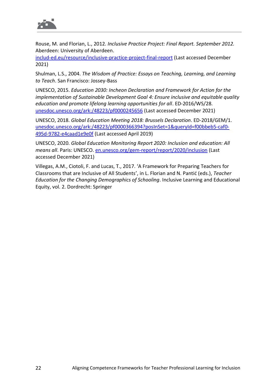

Rouse, M. and Florian, L., 2012. *Inclusive Practice Project: Final Report. September 2012.* Aberdeen: University of Aberdeen.

[includ-ed.eu/resource/inclusive-practice-project-final-report](https://includ-ed.eu/resource/inclusive-practice-project-final-report) (Last accessed December 2021)

Shulman, L.S., 2004. *The Wisdom of Practice: Essays on Teaching, Learning, and Learning to Teach*. San Francisco: Jossey-Bass

UNESCO, 2015. *Education 2030: Incheon Declaration and Framework for Action for the implementation of Sustainable Development Goal 4: Ensure inclusive and equitable quality education and promote lifelong learning opportunities for all*. ED-2016/WS/28. [unesdoc.unesco.org/ark:/48223/pf0000245656](https://unesdoc.unesco.org/ark:/48223/pf0000245656) (Last accessed December 2021)

UNESCO, 2018. *Global Education Meeting 2018: Brussels Declaration*. ED-2018/GEM/1. [unesdoc.unesco.org/ark:/48223/pf0000366394?posInSet=1&queryId=f00bbeb5-caf0-](https://unesdoc.unesco.org/ark:/48223/pf0000366394?posInSet=1&queryId=f00bbeb5-caf0-495d-9782-e4caad1e9e0f) [495d-9782-e4caad1e9e0f](https://unesdoc.unesco.org/ark:/48223/pf0000366394?posInSet=1&queryId=f00bbeb5-caf0-495d-9782-e4caad1e9e0f) (Last accessed April 2019)

UNESCO, 2020. *Global Education Monitoring Report 2020: Inclusion and education: All means all*. Paris: UNESCO. [en.unesco.org/gem-report/report/2020/inclusion](https://en.unesco.org/gem-report/report/2020/inclusion) (Last accessed December 2021)

Villegas, A.M., Ciotoli, F. and Lucas, T., 2017. 'A Framework for Preparing Teachers for Classrooms that are Inclusive of All Students', in L. Florian and N. Pantić (eds.), *Teacher Education for the Changing Demographics of Schooling*. Inclusive Learning and Educational Equity, vol. 2. Dordrecht: Springer